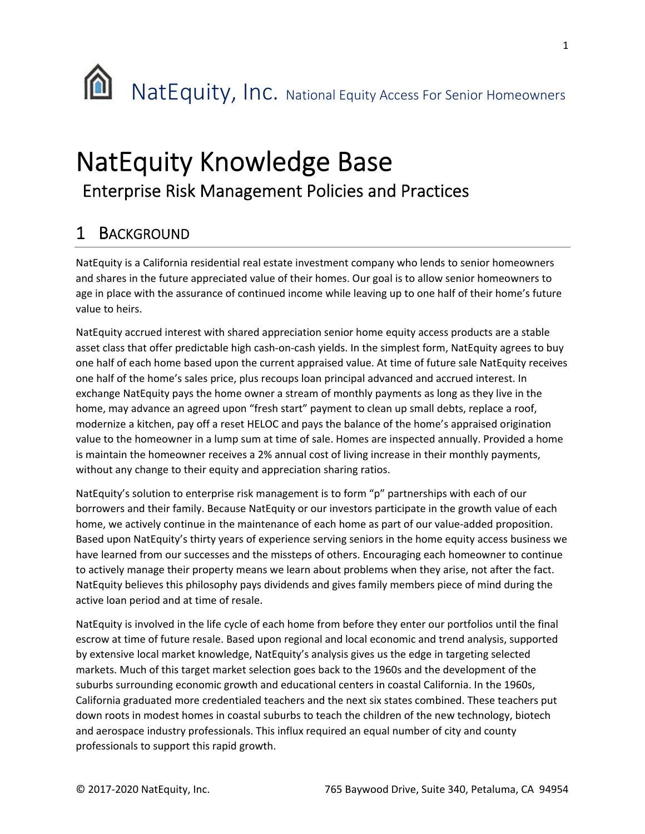

## NatEquity Knowledge Base Enterprise Risk Management Policies and Practices

## 1 BACKGROUND

NatEquity is a California residential real estate investment company who lends to senior homeowners and shares in the future appreciated value of their homes. Our goal is to allow senior homeowners to age in place with the assurance of continued income while leaving up to one half of their home's future value to heirs.

NatEquity accrued interest with shared appreciation senior home equity access products are a stable asset class that offer predictable high cash-on-cash yields. In the simplest form, NatEquity agrees to buy one half of each home based upon the current appraised value. At time of future sale NatEquity receives one half of the home's sales price, plus recoups loan principal advanced and accrued interest. In exchange NatEquity pays the home owner a stream of monthly payments as long as they live in the home, may advance an agreed upon "fresh start" payment to clean up small debts, replace a roof, modernize a kitchen, pay off a reset HELOC and pays the balance of the home's appraised origination value to the homeowner in a lump sum at time of sale. Homes are inspected annually. Provided a home is maintain the homeowner receives a 2% annual cost of living increase in their monthly payments, without any change to their equity and appreciation sharing ratios.

NatEquity's solution to enterprise risk management is to form "p" partnerships with each of our borrowers and their family. Because NatEquity or our investors participate in the growth value of each home, we actively continue in the maintenance of each home as part of our value-added proposition. Based upon NatEquity's thirty years of experience serving seniors in the home equity access business we have learned from our successes and the missteps of others. Encouraging each homeowner to continue to actively manage their property means we learn about problems when they arise, not after the fact. NatEquity believes this philosophy pays dividends and gives family members piece of mind during the active loan period and at time of resale.

NatEquity is involved in the life cycle of each home from before they enter our portfolios until the final escrow at time of future resale. Based upon regional and local economic and trend analysis, supported by extensive local market knowledge, NatEquity's analysis gives us the edge in targeting selected markets. Much of this target market selection goes back to the 1960s and the development of the suburbs surrounding economic growth and educational centers in coastal California. In the 1960s, California graduated more credentialed teachers and the next six states combined. These teachers put down roots in modest homes in coastal suburbs to teach the children of the new technology, biotech and aerospace industry professionals. This influx required an equal number of city and county professionals to support this rapid growth.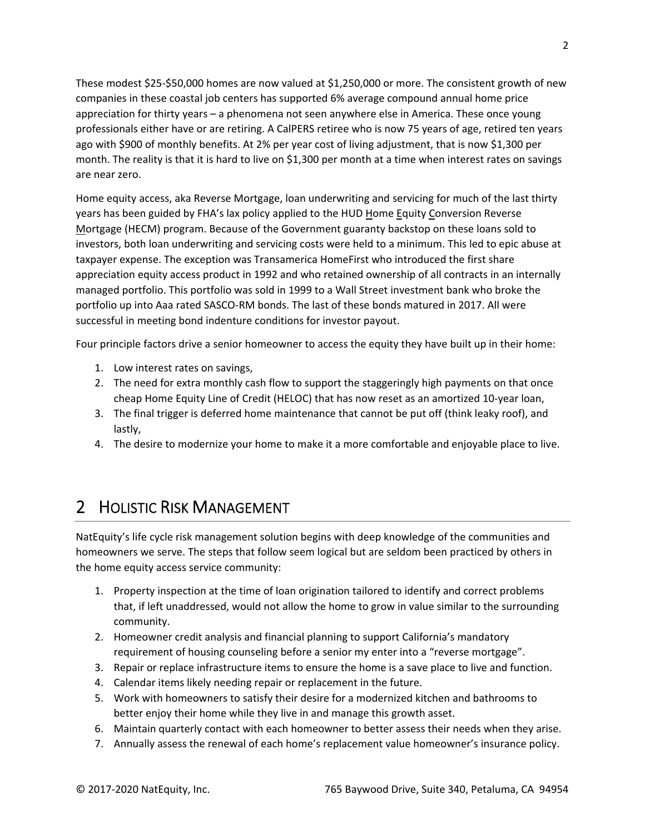These modest \$25‐\$50,000 homes are now valued at \$1,250,000 or more. The consistent growth of new companies in these coastal job centers has supported 6% average compound annual home price appreciation for thirty years – a phenomena not seen anywhere else in America. These once young professionals either have or are retiring. A CalPERS retiree who is now 75 years of age, retired ten years ago with \$900 of monthly benefits. At 2% per year cost of living adjustment, that is now \$1,300 per month. The reality is that it is hard to live on \$1,300 per month at a time when interest rates on savings are near zero.

Home equity access, aka Reverse Mortgage, loan underwriting and servicing for much of the last thirty years has been guided by FHA's lax policy applied to the HUD Home Equity Conversion Reverse Mortgage (HECM) program. Because of the Government guaranty backstop on these loans sold to investors, both loan underwriting and servicing costs were held to a minimum. This led to epic abuse at taxpayer expense. The exception was Transamerica HomeFirst who introduced the first share appreciation equity access product in 1992 and who retained ownership of all contracts in an internally managed portfolio. This portfolio was sold in 1999 to a Wall Street investment bank who broke the portfolio up into Aaa rated SASCO‐RM bonds. The last of these bonds matured in 2017. All were successful in meeting bond indenture conditions for investor payout.

Four principle factors drive a senior homeowner to access the equity they have built up in their home:

- 1. Low interest rates on savings,
- 2. The need for extra monthly cash flow to support the staggeringly high payments on that once cheap Home Equity Line of Credit (HELOC) that has now reset as an amortized 10‐year loan,
- 3. The final trigger is deferred home maintenance that cannot be put off (think leaky roof), and lastly,
- 4. The desire to modernize your home to make it a more comfortable and enjoyable place to live.

## 2 HOLISTIC RISK MANAGEMENT

NatEquity's life cycle risk management solution begins with deep knowledge of the communities and homeowners we serve. The steps that follow seem logical but are seldom been practiced by others in the home equity access service community:

- 1. Property inspection at the time of loan origination tailored to identify and correct problems that, if left unaddressed, would not allow the home to grow in value similar to the surrounding community.
- 2. Homeowner credit analysis and financial planning to support California's mandatory requirement of housing counseling before a senior my enter into a "reverse mortgage".
- 3. Repair or replace infrastructure items to ensure the home is a save place to live and function.
- 4. Calendar items likely needing repair or replacement in the future.
- 5. Work with homeowners to satisfy their desire for a modernized kitchen and bathrooms to better enjoy their home while they live in and manage this growth asset.
- 6. Maintain quarterly contact with each homeowner to better assess their needs when they arise.
- 7. Annually assess the renewal of each home's replacement value homeowner's insurance policy.